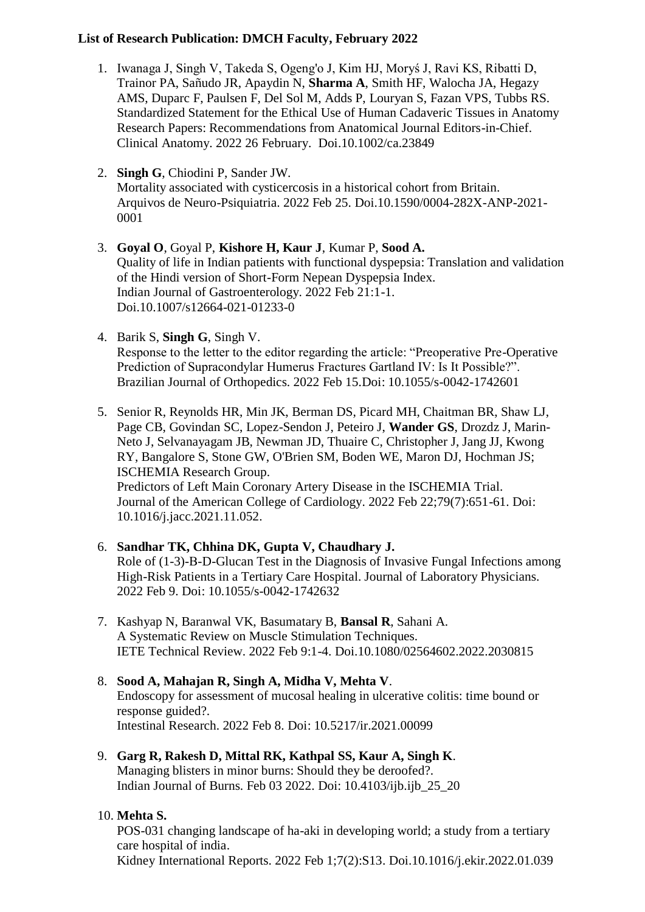## **List of Research Publication: DMCH Faculty, February 2022**

- 1. Iwanaga J, Singh V, Takeda S, Ogeng'o J, Kim HJ, Moryś J, Ravi KS, Ribatti D, Trainor PA, Sañudo JR, Apaydin N, **Sharma A**, Smith HF, Walocha JA, Hegazy AMS, Duparc F, Paulsen F, Del Sol M, Adds P, Louryan S, Fazan VPS, Tubbs RS. Standardized Statement for the Ethical Use of Human Cadaveric Tissues in Anatomy Research Papers: Recommendations from Anatomical Journal Editors-in-Chief. Clinical Anatomy. 2022 26 February. Doi.10.1002/ca.23849
- 2. **Singh G**, Chiodini P, Sander JW. Mortality associated with cysticercosis in a historical cohort from Britain. Arquivos de Neuro-Psiquiatria. 2022 Feb 25. Doi.10.1590/0004-282X-ANP-2021- 0001
- 3. **Goyal O**, Goyal P, **Kishore H, Kaur J**, Kumar P, **Sood A.** Quality of life in Indian patients with functional dyspepsia: Translation and validation of the Hindi version of Short-Form Nepean Dyspepsia Index. Indian Journal of Gastroenterology. 2022 Feb 21:1-1. Doi.10.1007/s12664-021-01233-0
- 4. Barik S, **Singh G**, Singh V. Response to the letter to the editor regarding the article: "Preoperative Pre-Operative Prediction of Supracondylar Humerus Fractures Gartland IV: Is It Possible?". Brazilian Journal of Orthopedics. 2022 Feb 15.Doi: 10.1055/s-0042-1742601
- 5. Senior R, Reynolds HR, Min JK, Berman DS, Picard MH, Chaitman BR, Shaw LJ, Page CB, Govindan SC, Lopez-Sendon J, Peteiro J, **Wander GS**, Drozdz J, Marin-Neto J, Selvanayagam JB, Newman JD, Thuaire C, Christopher J, Jang JJ, Kwong RY, Bangalore S, Stone GW, O'Brien SM, Boden WE, Maron DJ, Hochman JS; ISCHEMIA Research Group.

Predictors of Left Main Coronary Artery Disease in the ISCHEMIA Trial. Journal of the American College of Cardiology. 2022 Feb 22;79(7):651-61. Doi: 10.1016/j.jacc.2021.11.052.

- 6. **Sandhar TK, Chhina DK, Gupta V, Chaudhary J.**  Role of (1-3)-Β-D-Glucan Test in the Diagnosis of Invasive Fungal Infections among High-Risk Patients in a Tertiary Care Hospital. Journal of Laboratory Physicians. 2022 Feb 9. Doi: 10.1055/s-0042-1742632
- 7. Kashyap N, Baranwal VK, Basumatary B, **Bansal R**, Sahani A. A Systematic Review on Muscle Stimulation Techniques. IETE Technical Review. 2022 Feb 9:1-4. Doi.10.1080/02564602.2022.2030815
- 8. **Sood A, Mahajan R, Singh A, Midha V, Mehta V**. Endoscopy for assessment of mucosal healing in ulcerative colitis: time bound or response guided?. Intestinal Research. 2022 Feb 8. Doi: 10.5217/ir.2021.00099
- 9. **Garg R, Rakesh D, Mittal RK, Kathpal SS, Kaur A, Singh K**. Managing blisters in minor burns: Should they be deroofed?. Indian Journal of Burns. Feb 03 2022. Doi: 10.4103/ijb.ijb\_25\_20

## 10. **Mehta S.**

POS-031 changing landscape of ha-aki in developing world; a study from a tertiary care hospital of india.

Kidney International Reports. 2022 Feb 1;7(2):S13. Doi.10.1016/j.ekir.2022.01.039